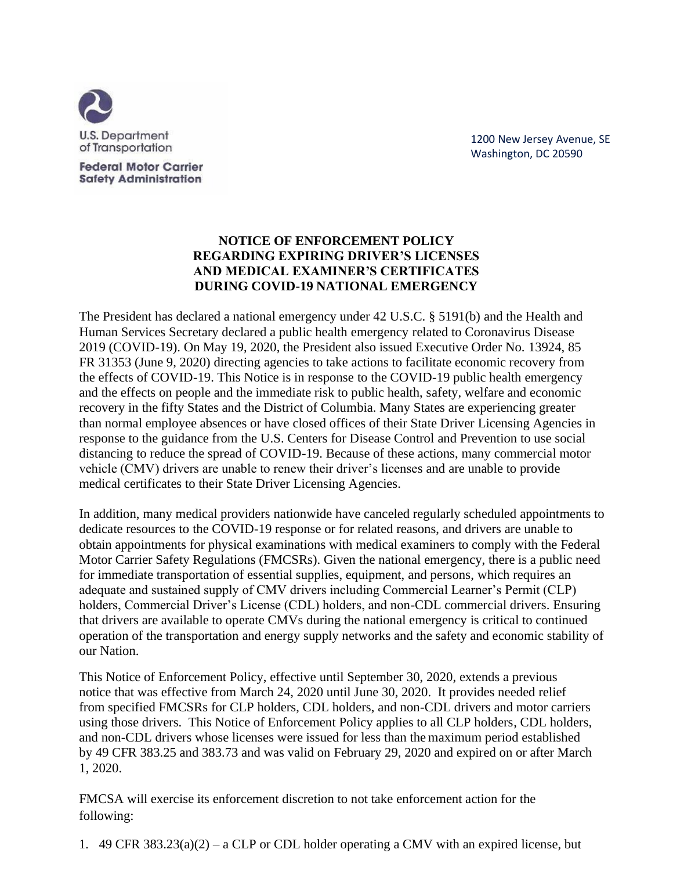

**Federal Motor Carrier Safety Administration**  1200 New Jersey Avenue, SE Washington, DC 20590

## **NOTICE OF ENFORCEMENT POLICY REGARDING EXPIRING DRIVER'S LICENSES AND MEDICAL EXAMINER'S CERTIFICATES DURING COVID-19 NATIONAL EMERGENCY**

The President has declared a national emergency under 42 U.S.C. § 5191(b) and the Health and Human Services Secretary declared a public health emergency related to Coronavirus Disease 2019 (COVID-19). On May 19, 2020, the President also issued Executive Order No. 13924, 85 FR 31353 (June 9, 2020) directing agencies to take actions to facilitate economic recovery from the effects of COVID-19. This Notice is in response to the COVID-19 public health emergency and the effects on people and the immediate risk to public health, safety, welfare and economic recovery in the fifty States and the District of Columbia. Many States are experiencing greater than normal employee absences or have closed offices of their State Driver Licensing Agencies in response to the guidance from the U.S. Centers for Disease Control and Prevention to use social distancing to reduce the spread of COVID-19. Because of these actions, many commercial motor vehicle (CMV) drivers are unable to renew their driver's licenses and are unable to provide medical certificates to their State Driver Licensing Agencies.

In addition, many medical providers nationwide have canceled regularly scheduled appointments to dedicate resources to the COVID-19 response or for related reasons, and drivers are unable to obtain appointments for physical examinations with medical examiners to comply with the Federal Motor Carrier Safety Regulations (FMCSRs). Given the national emergency, there is a public need for immediate transportation of essential supplies, equipment, and persons, which requires an adequate and sustained supply of CMV drivers including Commercial Learner's Permit (CLP) holders, Commercial Driver's License (CDL) holders, and non-CDL commercial drivers. Ensuring that drivers are available to operate CMVs during the national emergency is critical to continued operation of the transportation and energy supply networks and the safety and economic stability of our Nation.

This Notice of Enforcement Policy, effective until September 30, 2020, extends a previous notice that was effective from March 24, 2020 until June 30, 2020. It provides needed relief from specified FMCSRs for CLP holders, CDL holders, and non-CDL drivers and motor carriers using those drivers. This Notice of Enforcement Policy applies to all CLP holders, CDL holders, and non-CDL drivers whose licenses were issued for less than the maximum period established by 49 CFR 383.25 and 383.73 and was valid on February 29, 2020 and expired on or after March 1, 2020.

FMCSA will exercise its enforcement discretion to not take enforcement action for the following:

1. 49 CFR  $383.23(a)(2) - a$  CLP or CDL holder operating a CMV with an expired license, but